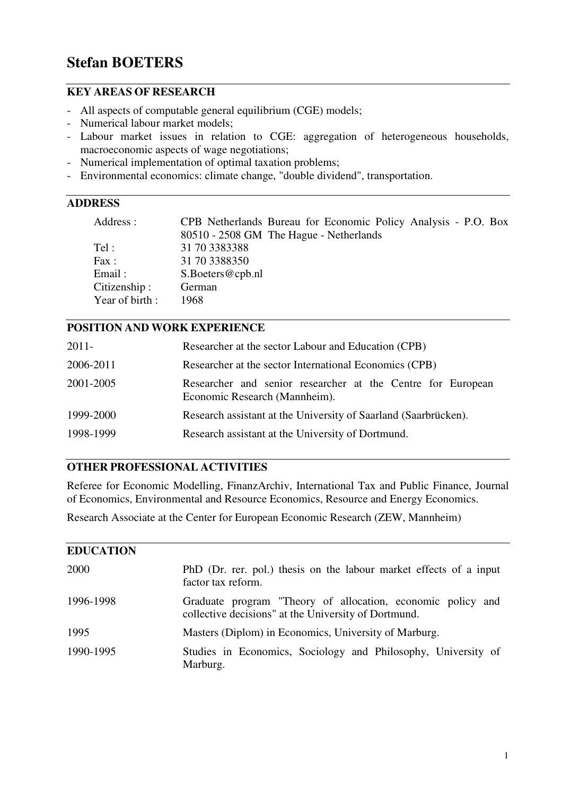# **Stefan BOETERS**

## **KEY AREAS OF RESEARCH**

- All aspects of computable general equilibrium (CGE) models;
- Numerical labour market models;
- Labour market issues in relation to CGE: aggregation of heterogeneous households, macroeconomic aspects of wage negotiations;
- Numerical implementation of optimal taxation problems;
- Environmental economics: climate change, "double dividend", transportation.

# **ADDRESS**

| CPB Netherlands Bureau for Economic Policy Analysis - P.O. Box |
|----------------------------------------------------------------|
| 80510 - 2508 GM The Hague - Netherlands                        |
| 31 70 3383388                                                  |
| 31 70 3388350                                                  |
| S.Boeters@cpb.nl                                               |
| German                                                         |
| 1968                                                           |
|                                                                |

## **POSITION AND WORK EXPERIENCE**

| $2011 -$  | Researcher at the sector Labour and Education (CPB)                                          |
|-----------|----------------------------------------------------------------------------------------------|
| 2006-2011 | Researcher at the sector International Economics (CPB)                                       |
| 2001-2005 | Researcher and senior researcher at the Centre for European<br>Economic Research (Mannheim). |
| 1999-2000 | Research assistant at the University of Saarland (Saarbrücken).                              |
| 1998-1999 | Research assistant at the University of Dortmund.                                            |

## **OTHER PROFESSIONAL ACTIVITIES**

Referee for Economic Modelling, FinanzArchiv, International Tax and Public Finance, Journal of Economics, Environmental and Resource Economics, Resource and Energy Economics.

Research Associate at the Center for European Economic Research (ZEW, Mannheim)

| <b>EDUCATION</b> |                                                                                                                     |
|------------------|---------------------------------------------------------------------------------------------------------------------|
| 2000             | PhD (Dr. rer. pol.) thesis on the labour market effects of a input<br>factor tax reform.                            |
| 1996-1998        | Graduate program "Theory of allocation, economic policy and<br>collective decisions" at the University of Dortmund. |
| 1995             | Masters (Diplom) in Economics, University of Marburg.                                                               |
| 1990-1995        | Studies in Economics, Sociology and Philosophy, University of<br>Marburg.                                           |